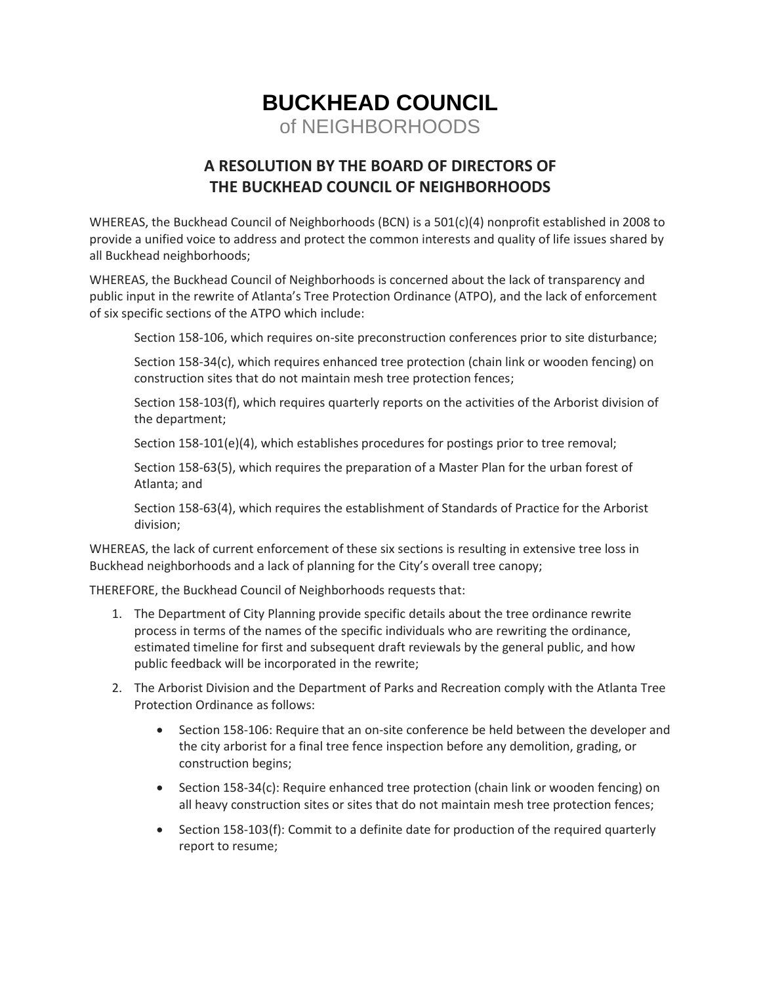## **BUCKHEAD COUNCIL** of NEIGHBORHOODS

## **A RESOLUTION BY THE BOARD OF DIRECTORS OF THE BUCKHEAD COUNCIL OF NEIGHBORHOODS**

WHEREAS, the Buckhead Council of Neighborhoods (BCN) is a 501(c)(4) nonprofit established in 2008 to provide a unified voice to address and protect the common interests and quality of life issues shared by all [Buckhead neighborhoods;](http://www.buckheadcouncil.org/neighborhoods/)

WHEREAS, the Buckhead Council of Neighborhoods is concerned about the lack of transparency and public input in the rewrite of Atlanta's Tree Protection Ordinance (ATPO), and the lack of enforcement of six specific sections of the ATPO which include:

Section 158-106, which requires on-site preconstruction conferences prior to site disturbance;

Section 158-34(c), which requires enhanced tree protection (chain link or wooden fencing) on construction sites that do not maintain mesh tree protection fences;

Section 158-103(f), which requires quarterly reports on the activities of the Arborist division of the department;

Section 158-101(e)(4), which establishes procedures for postings prior to tree removal;

Section 158-63(5), which requires the preparation of a Master Plan for the urban forest of Atlanta; and

Section 158-63(4), which requires the establishment of Standards of Practice for the Arborist division;

WHEREAS, the lack of current enforcement of these six sections is resulting in extensive tree loss in Buckhead neighborhoods and a lack of planning for the City's overall tree canopy;

THEREFORE, the Buckhead Council of Neighborhoods requests that:

- 1. The Department of City Planning provide specific details about the tree ordinance rewrite process in terms of the names of the specific individuals who are rewriting the ordinance, estimated timeline for first and subsequent draft reviewals by the general public, and how public feedback will be incorporated in the rewrite;
- 2. The Arborist Division and the Department of Parks and Recreation comply with the Atlanta Tree Protection Ordinance as follows:
	- Section 158-106: Require that an on-site conference be held between the developer and the city arborist for a final tree fence inspection before any demolition, grading, or construction begins;
	- Section 158-34(c): Require enhanced tree protection (chain link or wooden fencing) on all heavy construction sites or sites that do not maintain mesh tree protection fences;
	- Section 158-103(f): Commit to a definite date for production of the required quarterly report to resume;